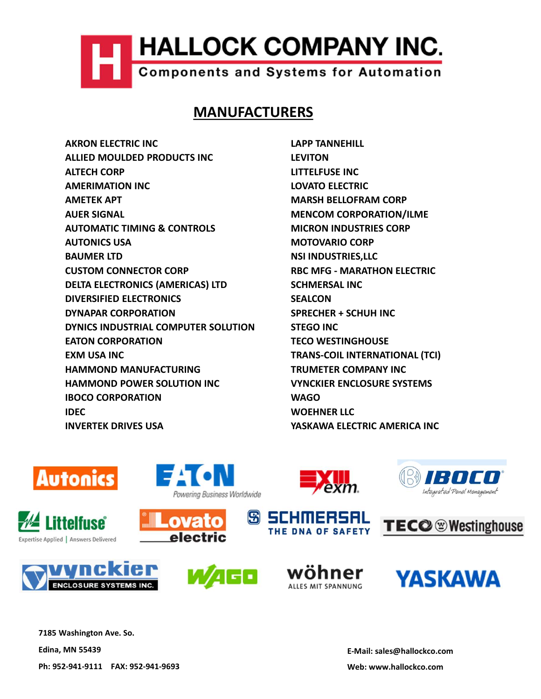## MANUFACTURERS

**AMERIMATION INC.**<br> **AKRON ELECTRIC INC.**<br>
AKRON ELECTRIC INC<br>
ALIED MOULDED PRODUCTS INC<br>
ALIED MOULDED PRODUCTS INC<br>
AMERIMATION INC<br>
AMERIMATION INC LOVATO ELECTRIC<br>
AMERIMATION INC LOVATO ELECTRIC<br>
AMERIMATION INC LOVA **ALLOCK COMPANY INC.**<br>
Components and Systems for Automation<br>
MANUFACTURERS<br>
AKRON ELECTRIC INC<br>
ALIED MOULDED PRODUCTS INC<br>
ALIED MOULDED PRODUCTS INC<br>
AMERIMATION INC<br>
AMERICAPT MARSH BELLOFRAM CORP<br>
AMETEK APT MARSH BEL **HALLOCK COMPANY INC.**<br>
Components and Systems for Automation<br> **MANUFACTURERS**<br>
AKRON ELECTRIC INC<br>
ALTECH CORP<br>
ALTECH CORP<br>
ANTER APT<br>
AMERIMATION INC<br>
AMERICART MARSH BELLOFRAM CORP<br>
AUTOMATIC TIMING & CONTROLS<br>
MENCOON **HALLOCK COMPANY INC.**<br>
Components and Systems for Automation<br> **MANUFACTURERS**<br>
AKRON ELECTRIC INC<br>
ALIED MOULDED PRODUCTS INC<br>
ALIED MOULDED PRODUCTS INC<br>
ALIED MOULDED PRODUCTS INC<br>
ALIED MOULDED PRODUCTS INC<br>
ALIED MOUL **HALLOCK COMPANY INC.**<br>
Components and Systems for Automation<br>
MANUFACTURERS<br>
AKRON ELECTRIC INC<br>
ALIED MOULDED PRODUCTS INC<br>
ALIED MOULDED PRODUCTS INC<br>
AMERIMATION INC<br>
AMERIMATION INC<br>
AMERIMATION INC.<br>
AMERIMATION INC. **HALLOCK COMPANY INC.**<br>
Components and Systems for Automation<br>
MANUFACTURERS<br>
AKRON ELECTRIC INC<br>
AUER MOULDED PRODUCTS INC<br>
AUTEELAGOR<br>
AUTER APT<br>
AUTER APT<br>
AUTOMATIC TIMING & CONTROLS<br>
AUTOMATIC TIMING & CONTROLS<br>
AUTOM **HALLOCK COMPANY INC.**<br>
Components and Systems for Automation<br>
MANUFACTURERS<br>
AUTED MOULDED PRODUCTS INC<br>
ALTECH CORP<br>
AUTER AUTON<br>
AUTER AUTOR INC.<br>
AUTER AUTOMATIC TIMING & CONTROLS<br>
AUTOMATIC TIMING & CONTROLS<br>
AUTOMATI **HALLOCK COMPANY INC.**<br>
Components and Systems for Automation<br>
MANUFACTURERS<br>
AUTOR PRODUCTS INC<br>
AUTENT MORE DROUGHNERS<br>
AUTENT MORE UNITELYSE INC<br>
ANTERNATION INC<br>
AMERIMATION INC<br>
AUTOMATIC TIMING & CONTROLS<br>
AUTOMATIC **EXERCISE AND THALLOCK COMPANY INC.**<br>
COMPONENTS and Systems for Automation<br>
MANUFACTURERS<br>
AKRON ELECTRIC INC<br>
ALIED MOULDED PRODUCTS INC<br>
ALIED MOULDED PRODUCTS INC<br>
ALIED AND TREVITON<br>
ANDER KONDER<br>
AMERIMATION INC<br>
AME COMPONENT COMPONENT AND TANK THE COMPONENT COMPONENT COMPONENT CHANGE ON THE CHANGE ON THE CHANGE ON THE CHANGE ON THE CHANGE ON THE CHANGE ON THE CHANGE ON THE CHANGE ON THE CHANGE ON THE CHANGE ON THE CHANGE ON THE CHANG COMPOONERS and Systems for Automation<br>
MANUFACTURERS<br>
AKRON ELECTRIC INC<br>
AUTED MOULDED PRODUCTS INC<br>
AUTED MOULDED<br>
AUTELY AND INTELLING INCOVATO ELECTRIC<br>
AMERIMATION INC<br>
AUTER SERVAL<br>
AUTER SERVAL<br>
AUTER SERVAL<br>
AUTER MANUFACTURERS<br>
MANUFACTURERS<br>
ARRON ELECTRIC INC<br>
ALLIED MOULDED PRODUCTS INC<br>
ALLIED MOULDED PRODUCTS INC<br>

AMERIMATION INC<br>
AMERIMATION INC<br>
AMERIMATION INC<br>
AMERIMATION INC<br>
AMERIMATION CONTROLS<br>
AUTOMATIC TIMING & CONT MANUFACTURERS<br>
AKRON ELECTRIC INC<br>
ALIED MOULDED PRODUCTS INC<br>
ALIED MOULDED PRODUCTS INC<br>
ANTERNATION<br>
ANTERNATION<br>
AMERIMATION<br>
AMERICA ATT<br>
AMERICA ATTENTING & CONTROLS<br>
ALITONICS USA<br>
AUTONICS USA<br>
AUTONICS USA<br>
AUTONI MANUFACTURERS<br>
ARRON ELECTRIC INC<br>
ALIED MOULDED PRODUCTS INC<br>
ALIED MOULDED PRODUCTS INC<br>
ANTERNATION INC<br>
ANTERNATION INC<br>
AMERICATION<br>
ANDER SIGNAL<br>
AUTOMATIC TIMING & CONTROLS<br>
AUTOMATIC TIMING & CONTROLS<br>
MOTONICS USA ARRON ELECTRIC INC<br>
ALIED MOULDED PRODUCTS INC<br>
ALIED MOULDED PRODUCTS INC<br>
ANTERIATION INC<br>
ANTERIATION INC<br>
AMERIMATION INC<br>
AMERIMATION INC<br>
AMERIMATION INC<br>
ANTERIATION<br>
AUTOMATIC TIMING & CONTROLS<br>
MOTOVARIO CORP<br>
MOT AKRON ELECTRIC INC<br>
ALLED MOULDED PRODUCTS INC<br>
ALLED MOULDED PRODUCTS INC<br>
LEVITON<br>
AMERIMATION INC<br>
AMERIMATION INC<br>
AMERICATION<br>
AMERICATION<br>
ALLER SIGNAL<br>
ALLER SIGNAL TIMING & CONTROLS<br>
AUTOMICS USA<br>
AUTOMICS USA<br>
AUT ALIED MOULDED PRODUCTS INC<br>
ANTEINATION INC<br>
ANTEINATION INC<br>
AMERIMATION INC<br>
AMERICA APT<br>
ANTEINE APT<br>
ANTEINE APT<br>
AUTOMATIC TIMING & CONTROLS<br>
MOTOMATIC TIMING & CONTROLS<br>
MOTORIC MANUFACTURING CORP<br>
BAUMER LITY<br>
BAUME ALTECH CORP<br>
MAREINATION INC<br>
MAREIN ATOM INCORPORATION INCORPORATION (INCREDUCTION ORP<br>
MAREIN AGAIN<br>
ALTERNATION INCREDUCTION INCREDUCTION INCORPORATION INCORPORATION INCORP<br>
AUTOMICS USA<br>
MOTOVARIO CORP<br>
MOTOVARIO CORP<br> MERIMATION INC<br>
MATEIR APT MARSH BELIOFRAM CORP<br>
MARSH BELIOFRAM CORP<br>
MARSH BELIOFRAM CORP<br>
MATOMICS USA<br>
MOTOVARIO CORP<br>
AUTOMICS USA<br>
MOTOVARIO CORP<br>
BAUMER ITD<br>
DELTA ELECTRONICS (AMERICAS) LTD<br>
DELTA ELECTRONICS (AMER ANTER APT
<br>
AUER SIGNAL<br>
AUER SIGNAL<br>
AUER SIGNAL<br>
AUTONICS USA<br>
AUTONICS USA<br>
AUTONICS USA<br>
AUTORICS CORPORATION<br>
CUSTOM CONNECTOR CORP<br>
DECRETATIONS (AMERICAS) LTD<br>
DIVERSIFIED ELECTRONICS<br>
DIVERSIFIED ELECTRONICS<br>
DIVER AUER SIGNAL<br>
AUTOMATIC TIMING & CONTROLS<br>
AUTOMATIC TIMING & CONTROLS<br>
MOTORICS USA MOTOVARIO CORP<br>
BAUMER LTD<br>
BAUMER LTD<br>
DIVERTIED ELECTRONICS (AMERICAS) LTD<br>
DIVERTIED ELECTRONICS (AMERICAS) LTD<br>
DIVERTER ELECTRONICS (

























7185 Washington Ave. So.

Edina, MN 55439

Ph: 952-941-9111 FAX: 952-941-9693

E-Mail: sales@hallockco.com

Web: www.hallockco.com